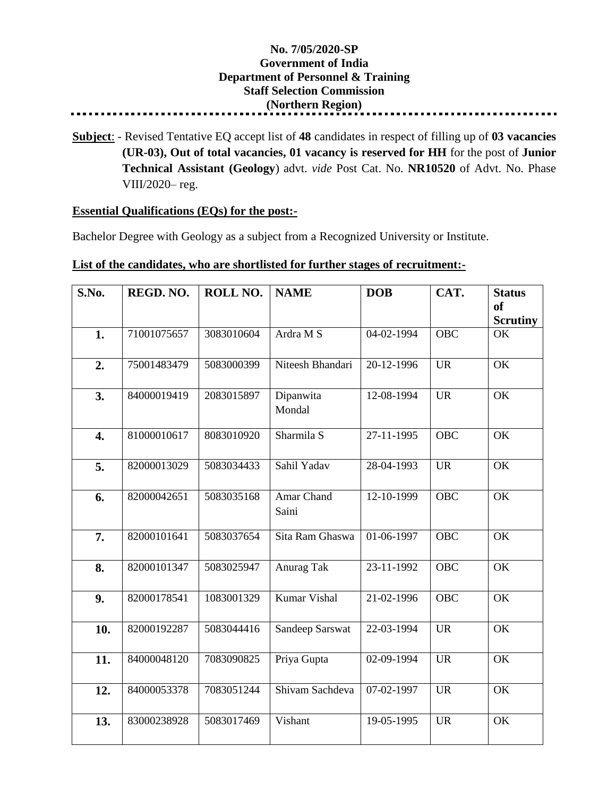## **No. 7/05/2020-SP Government of India Department of Personnel & Training Staff Selection Commission (Northern Region)**

**Subject**: - Revised Tentative EQ accept list of **48** candidates in respect of filling up of **03 vacancies (UR-03), Out of total vacancies, 01 vacancy is reserved for HH** for the post of **Junior Technical Assistant (Geology**) advt. *vide* Post Cat. No. **NR10520** of Advt. No. Phase VIII/2020– reg.

## **Essential Qualifications (EQs) for the post:-**

Bachelor Degree with Geology as a subject from a Recognized University or Institute.

## **List of the candidates, who are shortlisted for further stages of recruitment:-**

| S.No.            | REGD. NO.   | ROLL NO.   | <b>NAME</b>         | <b>DOB</b> | CAT.       | <b>Status</b><br><sub>of</sub><br><b>Scrutiny</b> |
|------------------|-------------|------------|---------------------|------------|------------|---------------------------------------------------|
| 1.               | 71001075657 | 3083010604 | Ardra M S           | 04-02-1994 | <b>OBC</b> | OK                                                |
| 2.               | 75001483479 | 5083000399 | Niteesh Bhandari    | 20-12-1996 | <b>UR</b>  | $\overline{\text{OK}}$                            |
| 3.               | 84000019419 | 2083015897 | Dipanwita<br>Mondal | 12-08-1994 | <b>UR</b>  | OK                                                |
| $\overline{4}$ . | 81000010617 | 8083010920 | Sharmila S          | 27-11-1995 | <b>OBC</b> | $\overline{\text{OK}}$                            |
| 5.               | 82000013029 | 5083034433 | Sahil Yadav         | 28-04-1993 | <b>UR</b>  | OK                                                |
| 6.               | 82000042651 | 5083035168 | Amar Chand<br>Saini | 12-10-1999 | <b>OBC</b> | OK                                                |
| 7.               | 82000101641 | 5083037654 | Sita Ram Ghaswa     | 01-06-1997 | <b>OBC</b> | OK                                                |
| 8.               | 82000101347 | 5083025947 | Anurag Tak          | 23-11-1992 | <b>OBC</b> | OK                                                |
| 9.               | 82000178541 | 1083001329 | Kumar Vishal        | 21-02-1996 | <b>OBC</b> | OK                                                |
| 10.              | 82000192287 | 5083044416 | Sandeep Sarswat     | 22-03-1994 | <b>UR</b>  | OK                                                |
| 11.              | 84000048120 | 7083090825 | Priya Gupta         | 02-09-1994 | <b>UR</b>  | $\overline{\text{OK}}$                            |
| 12.              | 84000053378 | 7083051244 | Shivam Sachdeva     | 07-02-1997 | <b>UR</b>  | OK                                                |
| 13.              | 83000238928 | 5083017469 | Vishant             | 19-05-1995 | <b>UR</b>  | OK                                                |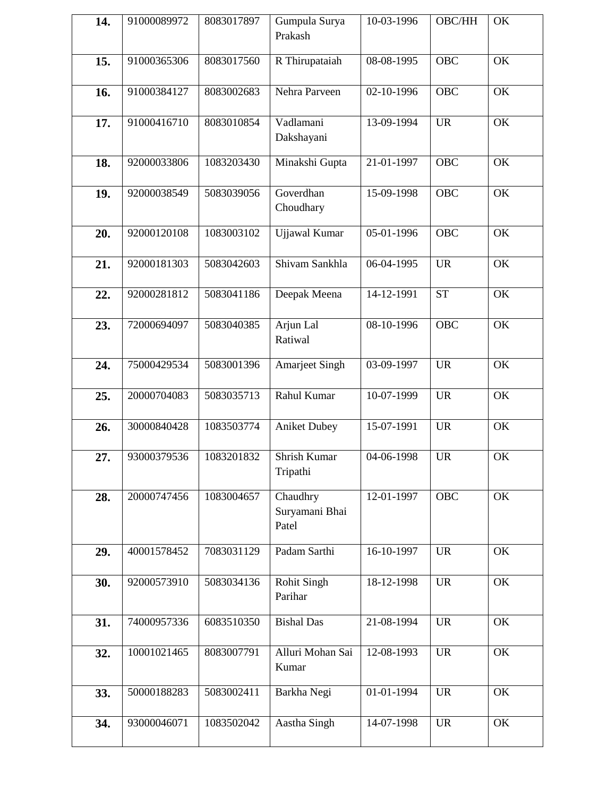| 14. | 91000089972 | 8083017897 | Gumpula Surya<br>Prakash            | 10-03-1996 | OBC/HH                          | OK                     |
|-----|-------------|------------|-------------------------------------|------------|---------------------------------|------------------------|
| 15. | 91000365306 | 8083017560 | R Thirupataiah                      | 08-08-1995 | <b>OBC</b>                      | OK                     |
| 16. | 91000384127 | 8083002683 | Nehra Parveen                       | 02-10-1996 | <b>OBC</b>                      | OK                     |
| 17. | 91000416710 | 8083010854 | Vadlamani<br>Dakshayani             | 13-09-1994 | <b>UR</b>                       | OK                     |
| 18. | 92000033806 | 1083203430 | Minakshi Gupta                      | 21-01-1997 | <b>OBC</b>                      | OK                     |
| 19. | 92000038549 | 5083039056 | Goverdhan<br>Choudhary              | 15-09-1998 | <b>OBC</b>                      | OK                     |
| 20. | 92000120108 | 1083003102 | Ujjawal Kumar                       | 05-01-1996 | <b>OBC</b>                      | OK                     |
| 21. | 92000181303 | 5083042603 | Shivam Sankhla                      | 06-04-1995 | <b>UR</b>                       | OK                     |
| 22. | 92000281812 | 5083041186 | Deepak Meena                        | 14-12-1991 | <b>ST</b>                       | OK                     |
| 23. | 72000694097 | 5083040385 | Arjun Lal<br>Ratiwal                | 08-10-1996 | <b>OBC</b>                      | OK                     |
| 24. | 75000429534 | 5083001396 | <b>Amarjeet Singh</b>               | 03-09-1997 | <b>UR</b>                       | OK                     |
| 25. | 20000704083 | 5083035713 | Rahul Kumar                         | 10-07-1999 | <b>UR</b>                       | OK                     |
| 26. | 30000840428 | 1083503774 | <b>Aniket Dubey</b>                 | 15-07-1991 | <b>UR</b>                       | OK                     |
| 27. | 93000379536 | 1083201832 | Shrish Kumar<br>Tripathi            | 04-06-1998 | <b>UR</b>                       | OK                     |
| 28. | 20000747456 | 1083004657 | Chaudhry<br>Suryamani Bhai<br>Patel | 12-01-1997 | <b>OBC</b>                      | $\overline{\text{OK}}$ |
| 29. | 40001578452 | 7083031129 | Padam Sarthi                        | 16-10-1997 | <b>UR</b>                       | OK                     |
| 30. | 92000573910 | 5083034136 | <b>Rohit Singh</b><br>Parihar       | 18-12-1998 | <b>UR</b>                       | OK                     |
| 31. | 74000957336 | 6083510350 | <b>Bishal Das</b>                   | 21-08-1994 | <b>UR</b>                       | OK                     |
| 32. | 10001021465 | 8083007791 | Alluri Mohan Sai<br>Kumar           | 12-08-1993 | <b>UR</b>                       | OK                     |
| 33. | 50000188283 | 5083002411 | Barkha Negi                         | 01-01-1994 | <b>UR</b>                       | OK                     |
| 34. | 93000046071 | 1083502042 | Aastha Singh                        | 14-07-1998 | $\ensuremath{\text{UR}}\xspace$ | OK                     |